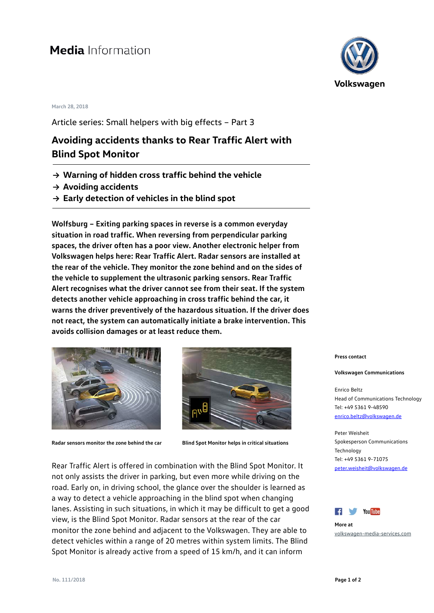# **Media** Information

### **March 28, 2018**

Article series: Small helpers with big effects – Part 3

## **Avoiding accidents thanks to Rear Traffic Alert with Blind Spot Monitor**

- **→ Warning of hidden cross traffic behind the vehicle**
- **→ Avoiding accidents**
- **→ Early detection of vehicles in the blind spot**

**Wolfsburg – Exiting parking spaces in reverse is a common everyday situation in road traffic. When reversing from perpendicular parking spaces, the driver often has a poor view. Another electronic helper from Volkswagen helps here: Rear Traffic Alert. Radar sensors are installed at the rear of the vehicle. They monitor the zone behind and on the sides of the vehicle to supplement the ultrasonic parking sensors. Rear Traffic Alert recognises what the driver cannot see from their seat. If the system detects another vehicle approaching in cross traffic behind the car, it warns the driver preventively of the hazardous situation. If the driver does not react, the system can automatically initiate a brake intervention. This avoids collision damages or at least reduce them.** 





**Radar sensors monitor the zone behind the car Blind Spot Monitor helps in critical situations**

Rear Traffic Alert is offered in combination with the Blind Spot Monitor. It not only assists the driver in parking, but even more while driving on the road. Early on, in driving school, the glance over the shoulder is learned as a way to detect a vehicle approaching in the blind spot when changing lanes. Assisting in such situations, in which it may be difficult to get a good view, is the Blind Spot Monitor. Radar sensors at the rear of the car monitor the zone behind and adjacent to the Volkswagen. They are able to detect vehicles within a range of 20 metres within system limits. The Blind Spot Monitor is already active from a speed of 15 km/h, and it can inform



**Press contact**

#### **Volkswagen Communications**

Enrico Beltz Head of Communications Technology Tel: +49 5361 9-48590 [enrico.beltz@volkswagen.de](mailto:enrico.beltz@volkswagen.de)

Peter Weisheit Spokesperson Communications Technology Tel: +49 5361 9-71075 [peter.weisheit@volkswagen.de](mailto:peter.weisheit@volkswagen.de)



**More at** [volkswagen-media-services.com](https://www.volkswagen-media-services.com/)